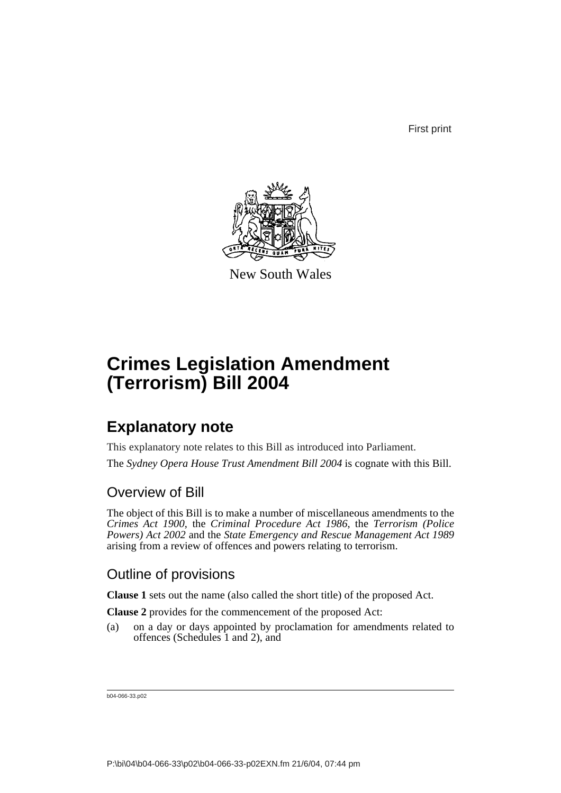First print



New South Wales

# **Crimes Legislation Amendment (Terrorism) Bill 2004**

### **Explanatory note**

This explanatory note relates to this Bill as introduced into Parliament.

The *Sydney Opera House Trust Amendment Bill 2004* is cognate with this Bill.

### Overview of Bill

The object of this Bill is to make a number of miscellaneous amendments to the *Crimes Act 1900*, the *Criminal Procedure Act 1986*, the *Terrorism (Police Powers) Act 2002* and the *State Emergency and Rescue Management Act 1989* arising from a review of offences and powers relating to terrorism.

### Outline of provisions

**Clause 1** sets out the name (also called the short title) of the proposed Act.

**Clause 2** provides for the commencement of the proposed Act:

(a) on a day or days appointed by proclamation for amendments related to offences (Schedules 1 and 2), and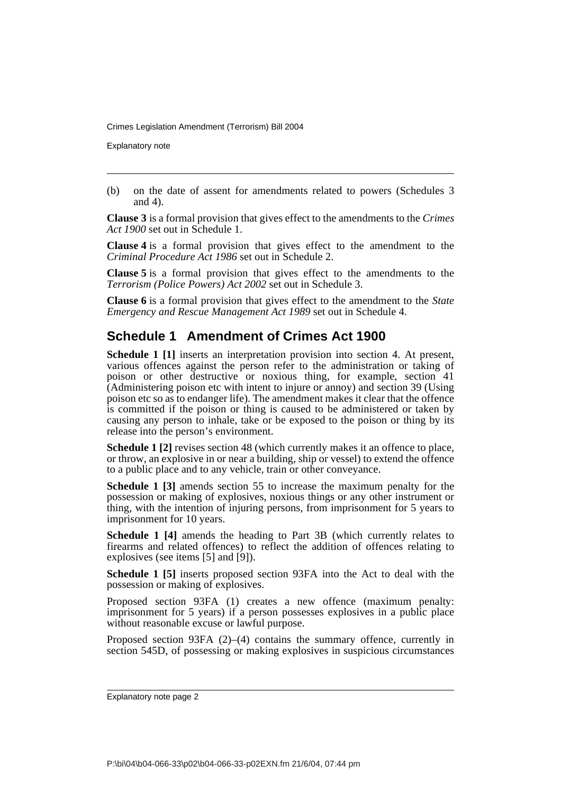Explanatory note

(b) on the date of assent for amendments related to powers (Schedules 3 and 4).

**Clause 3** is a formal provision that gives effect to the amendments to the *Crimes Act 1900* set out in Schedule 1.

**Clause 4** is a formal provision that gives effect to the amendment to the *Criminal Procedure Act 1986* set out in Schedule 2.

**Clause 5** is a formal provision that gives effect to the amendments to the *Terrorism (Police Powers) Act 2002* set out in Schedule 3.

**Clause 6** is a formal provision that gives effect to the amendment to the *State Emergency and Rescue Management Act 1989* set out in Schedule 4.

### **Schedule 1 Amendment of Crimes Act 1900**

**Schedule 1 [1]** inserts an interpretation provision into section 4. At present, various offences against the person refer to the administration or taking of poison or other destructive or noxious thing, for example, section 41 (Administering poison etc with intent to injure or annoy) and section 39 (Using poison etc so as to endanger life). The amendment makes it clear that the offence is committed if the poison or thing is caused to be administered or taken by causing any person to inhale, take or be exposed to the poison or thing by its release into the person's environment.

**Schedule 1 [2]** revises section 48 (which currently makes it an offence to place, or throw, an explosive in or near a building, ship or vessel) to extend the offence to a public place and to any vehicle, train or other conveyance.

**Schedule 1 [3]** amends section 55 to increase the maximum penalty for the possession or making of explosives, noxious things or any other instrument or thing, with the intention of injuring persons, from imprisonment for 5 years to imprisonment for 10 years.

**Schedule 1 [4]** amends the heading to Part 3B (which currently relates to firearms and related offences) to reflect the addition of offences relating to explosives (see items [5] and [9]).

**Schedule 1 [5]** inserts proposed section 93FA into the Act to deal with the possession or making of explosives.

Proposed section 93FA (1) creates a new offence (maximum penalty: imprisonment for 5 years) if a person possesses explosives in a public place without reasonable excuse or lawful purpose.

Proposed section 93FA  $(2)$ – $(4)$  contains the summary offence, currently in section 545D, of possessing or making explosives in suspicious circumstances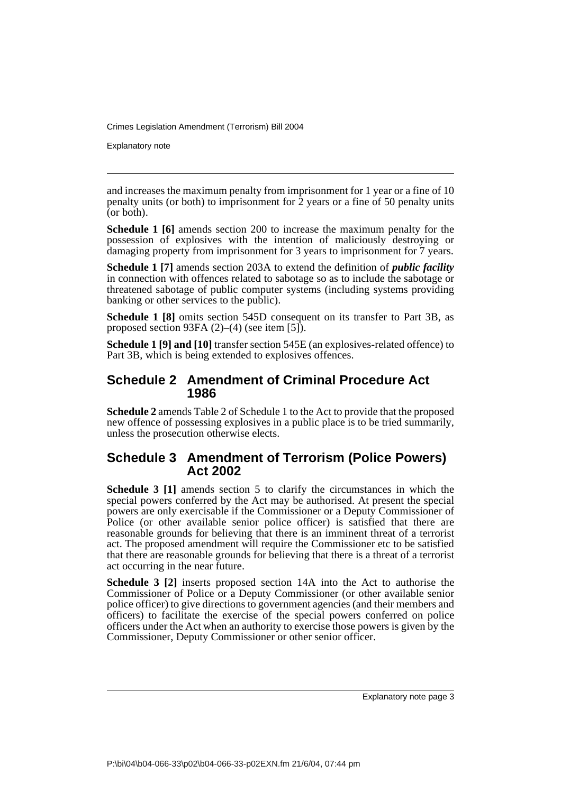Explanatory note

and increases the maximum penalty from imprisonment for 1 year or a fine of 10 penalty units (or both) to imprisonment for  $\tilde{2}$  years or a fine of 50 penalty units (or both).

**Schedule 1 [6]** amends section 200 to increase the maximum penalty for the possession of explosives with the intention of maliciously destroying or damaging property from imprisonment for 3 years to imprisonment for 7 years.

**Schedule 1 [7]** amends section 203A to extend the definition of *public facility* in connection with offences related to sabotage so as to include the sabotage or threatened sabotage of public computer systems (including systems providing banking or other services to the public).

**Schedule 1 [8]** omits section 545D consequent on its transfer to Part 3B, as proposed section 93FA (2)–(4) (see item [5]).

**Schedule 1 [9] and [10]** transfer section 545E (an explosives-related offence) to Part 3B, which is being extended to explosives offences.

#### **Schedule 2 Amendment of Criminal Procedure Act 1986**

**Schedule 2** amends Table 2 of Schedule 1 to the Act to provide that the proposed new offence of possessing explosives in a public place is to be tried summarily, unless the prosecution otherwise elects.

#### **Schedule 3 Amendment of Terrorism (Police Powers) Act 2002**

**Schedule 3 [1]** amends section 5 to clarify the circumstances in which the special powers conferred by the Act may be authorised. At present the special powers are only exercisable if the Commissioner or a Deputy Commissioner of Police (or other available senior police officer) is satisfied that there are reasonable grounds for believing that there is an imminent threat of a terrorist act. The proposed amendment will require the Commissioner etc to be satisfied that there are reasonable grounds for believing that there is a threat of a terrorist act occurring in the near future.

**Schedule 3 [2]** inserts proposed section 14A into the Act to authorise the Commissioner of Police or a Deputy Commissioner (or other available senior police officer) to give directions to government agencies (and their members and officers) to facilitate the exercise of the special powers conferred on police officers under the Act when an authority to exercise those powers is given by the Commissioner, Deputy Commissioner or other senior officer.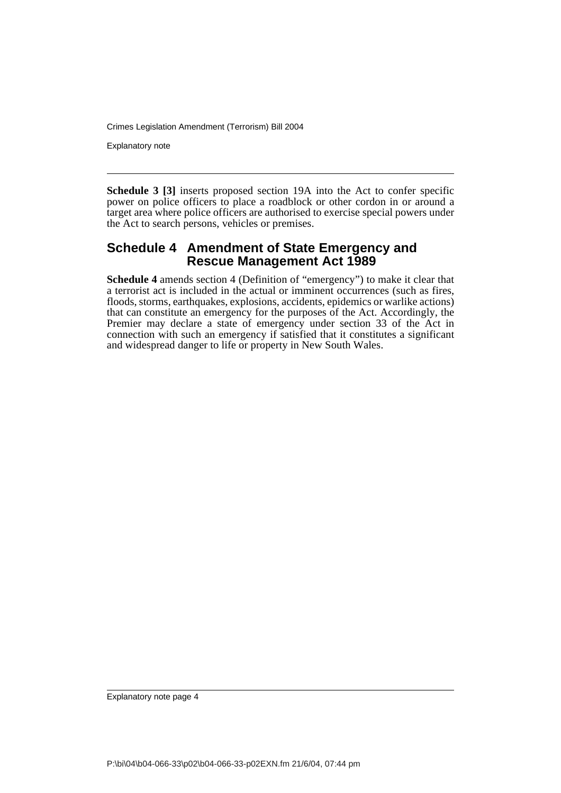Explanatory note

**Schedule 3 [3]** inserts proposed section 19A into the Act to confer specific power on police officers to place a roadblock or other cordon in or around a target area where police officers are authorised to exercise special powers under the Act to search persons, vehicles or premises.

#### **Schedule 4 Amendment of State Emergency and Rescue Management Act 1989**

**Schedule 4** amends section 4 (Definition of "emergency") to make it clear that a terrorist act is included in the actual or imminent occurrences (such as fires, floods, storms, earthquakes, explosions, accidents, epidemics or warlike actions) that can constitute an emergency for the purposes of the Act. Accordingly, the Premier may declare a state of emergency under section 33 of the Act in connection with such an emergency if satisfied that it constitutes a significant and widespread danger to life or property in New South Wales.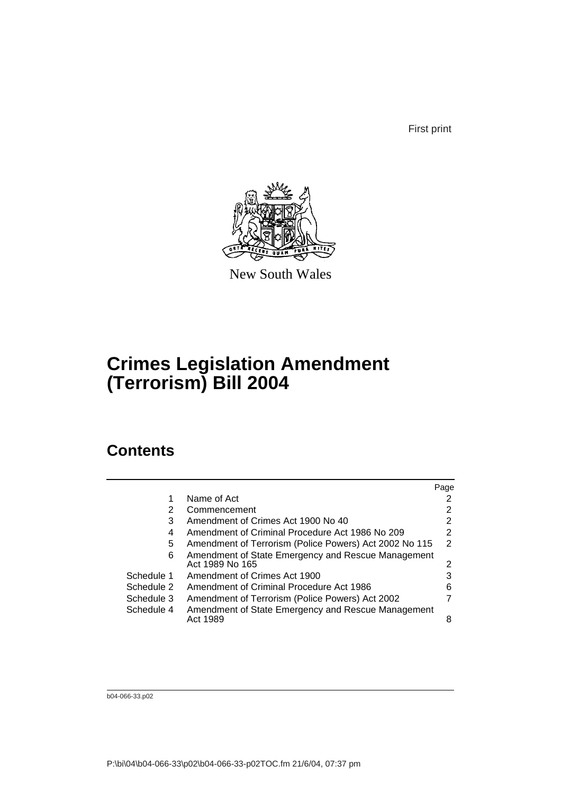First print



New South Wales

## **Crimes Legislation Amendment (Terrorism) Bill 2004**

### **Contents**

|                                                 | Page                                                                                                                                                               |
|-------------------------------------------------|--------------------------------------------------------------------------------------------------------------------------------------------------------------------|
| Name of Act                                     | 2                                                                                                                                                                  |
| Commencement                                    | 2                                                                                                                                                                  |
| Amendment of Crimes Act 1900 No 40              | 2                                                                                                                                                                  |
| Amendment of Criminal Procedure Act 1986 No 209 | 2                                                                                                                                                                  |
|                                                 | 2                                                                                                                                                                  |
| Act 1989 No 165                                 | 2                                                                                                                                                                  |
| Amendment of Crimes Act 1900                    | 3                                                                                                                                                                  |
| Amendment of Criminal Procedure Act 1986        | 6                                                                                                                                                                  |
| Amendment of Terrorism (Police Powers) Act 2002 |                                                                                                                                                                    |
| Act 1989                                        | 8                                                                                                                                                                  |
|                                                 | Amendment of Terrorism (Police Powers) Act 2002 No 115<br>Amendment of State Emergency and Rescue Management<br>Amendment of State Emergency and Rescue Management |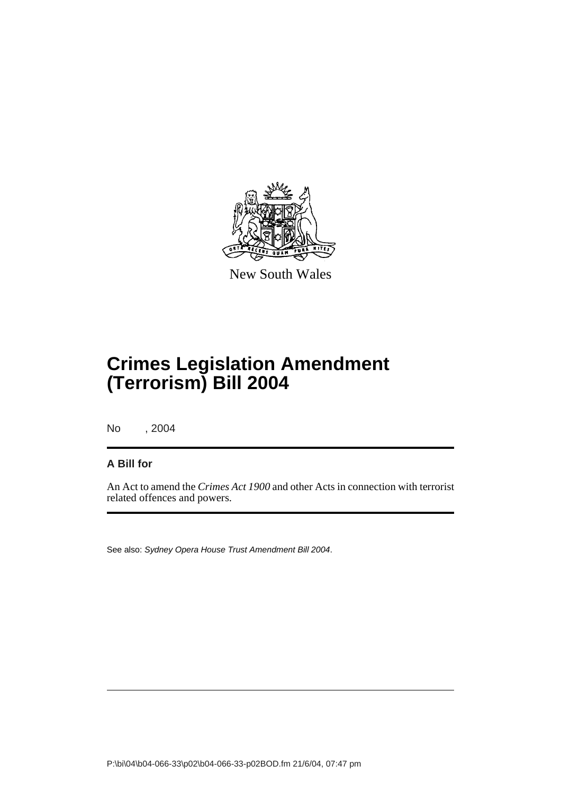

New South Wales

## **Crimes Legislation Amendment (Terrorism) Bill 2004**

No , 2004

#### **A Bill for**

An Act to amend the *Crimes Act 1900* and other Acts in connection with terrorist related offences and powers.

See also: *Sydney Opera House Trust Amendment Bill 2004*.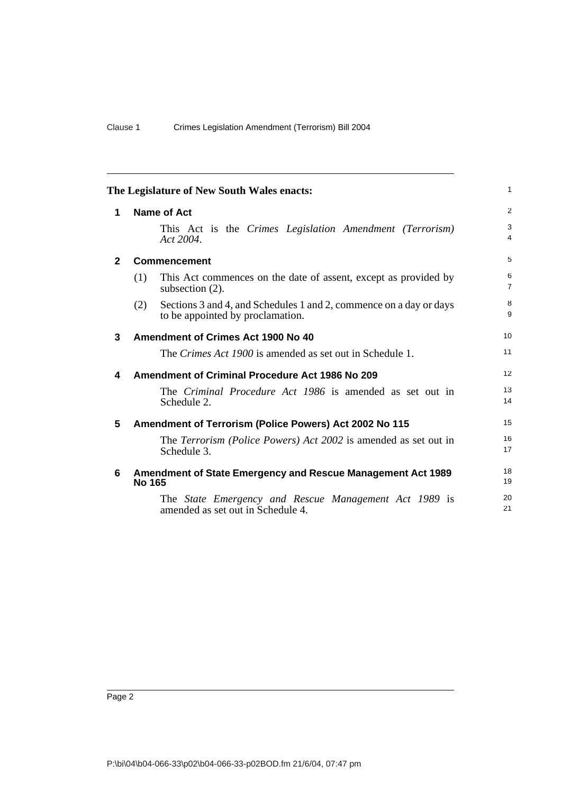| The Legislature of New South Wales enacts: |                                                                                                               | $\mathbf{1}$        |
|--------------------------------------------|---------------------------------------------------------------------------------------------------------------|---------------------|
| 1                                          | <b>Name of Act</b>                                                                                            | 2                   |
|                                            | This Act is the Crimes Legislation Amendment (Terrorism)<br>Act 2004.                                         | 3<br>$\overline{4}$ |
| $\mathbf{2}$                               | <b>Commencement</b>                                                                                           | 5                   |
|                                            | This Act commences on the date of assent, except as provided by<br>(1)<br>subsection $(2)$ .                  | 6<br>$\overline{7}$ |
|                                            | Sections 3 and 4, and Schedules 1 and 2, commence on a day or days<br>(2)<br>to be appointed by proclamation. | 8<br>9              |
| 3                                          | Amendment of Crimes Act 1900 No 40                                                                            | 10                  |
|                                            | The <i>Crimes Act 1900</i> is amended as set out in Schedule 1.                                               | 11                  |
| 4                                          | <b>Amendment of Criminal Procedure Act 1986 No 209</b>                                                        | 12                  |
|                                            | The Criminal Procedure Act 1986 is amended as set out in<br>Schedule 2.                                       | 13<br>14            |
| 5                                          | Amendment of Terrorism (Police Powers) Act 2002 No 115                                                        | 15                  |
|                                            | The Terrorism (Police Powers) Act 2002 is amended as set out in<br>Schedule 3.                                | 16<br>17            |
| 6                                          | Amendment of State Emergency and Rescue Management Act 1989<br><b>No 165</b>                                  | 18<br>19            |
|                                            | The State Emergency and Rescue Management Act 1989 is<br>amended as set out in Schedule 4.                    | 20<br>21            |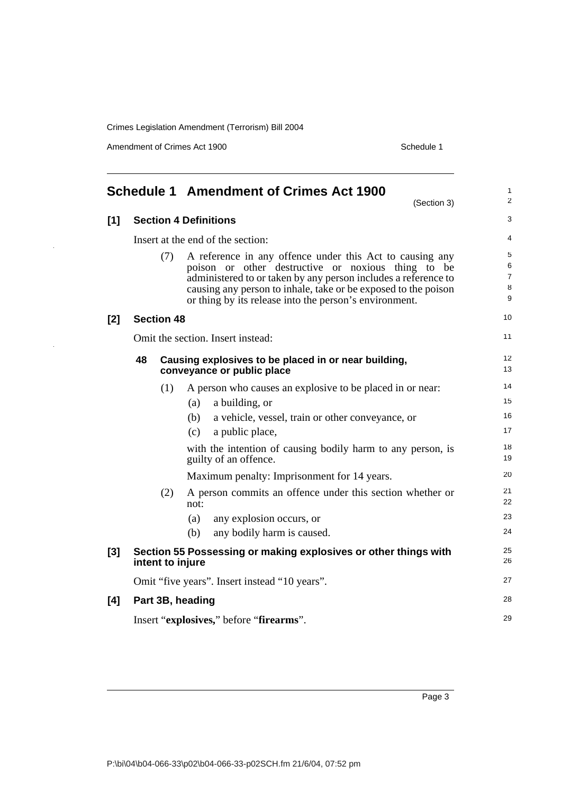Amendment of Crimes Act 1900 Schedule 1

|     |                                         |                   | <b>Schedule 1 Amendment of Crimes Act 1900</b><br>(Section 3)                                                                                                                                                                                                                                                | $\mathbf{1}$<br>$\overline{2}$           |
|-----|-----------------------------------------|-------------------|--------------------------------------------------------------------------------------------------------------------------------------------------------------------------------------------------------------------------------------------------------------------------------------------------------------|------------------------------------------|
| [1] |                                         |                   | <b>Section 4 Definitions</b>                                                                                                                                                                                                                                                                                 | 3                                        |
|     |                                         |                   | Insert at the end of the section:                                                                                                                                                                                                                                                                            | $\overline{4}$                           |
|     |                                         | (7)               | A reference in any offence under this Act to causing any<br>poison or other destructive or noxious thing to be<br>administered to or taken by any person includes a reference to<br>causing any person to inhale, take or be exposed to the poison<br>or thing by its release into the person's environment. | 5<br>6<br>$\overline{7}$<br>$\,8\,$<br>9 |
| [2] |                                         | <b>Section 48</b> |                                                                                                                                                                                                                                                                                                              | 10                                       |
|     |                                         |                   | Omit the section. Insert instead:                                                                                                                                                                                                                                                                            | 11                                       |
|     | 48                                      |                   | Causing explosives to be placed in or near building,<br>conveyance or public place                                                                                                                                                                                                                           | 12 <sup>2</sup><br>13                    |
|     |                                         | (1)               | A person who causes an explosive to be placed in or near:                                                                                                                                                                                                                                                    | 14                                       |
|     |                                         |                   | a building, or<br>(a)                                                                                                                                                                                                                                                                                        | 15                                       |
|     |                                         |                   | (b)<br>a vehicle, vessel, train or other conveyance, or                                                                                                                                                                                                                                                      | 16                                       |
|     |                                         |                   | a public place,<br>(c)                                                                                                                                                                                                                                                                                       | 17                                       |
|     |                                         |                   | with the intention of causing bodily harm to any person, is<br>guilty of an offence.                                                                                                                                                                                                                         | 18<br>19                                 |
|     |                                         |                   | Maximum penalty: Imprisonment for 14 years.                                                                                                                                                                                                                                                                  | 20                                       |
|     |                                         | (2)               | A person commits an offence under this section whether or<br>not:                                                                                                                                                                                                                                            | 21<br>22                                 |
|     |                                         |                   | any explosion occurs, or<br>(a)                                                                                                                                                                                                                                                                              | 23                                       |
|     |                                         |                   | any bodily harm is caused.<br>(b)                                                                                                                                                                                                                                                                            | 24                                       |
| [3] |                                         |                   | Section 55 Possessing or making explosives or other things with<br>intent to injure                                                                                                                                                                                                                          | 25<br>26                                 |
|     |                                         |                   | Omit "five years". Insert instead "10 years".                                                                                                                                                                                                                                                                | 27                                       |
| [4] |                                         |                   | Part 3B, heading                                                                                                                                                                                                                                                                                             | 28                                       |
|     | Insert "explosives," before "firearms". |                   | 29                                                                                                                                                                                                                                                                                                           |                                          |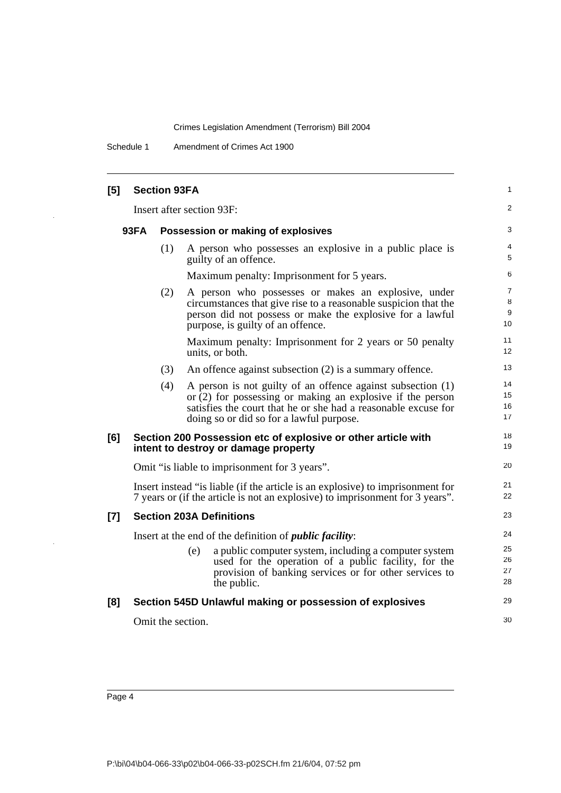Schedule 1 Amendment of Crimes Act 1900

 $\mathbb{Z}$ 

| [5]   |             | <b>Section 93FA</b> |                                                                                                                                                                                                                                           | 1                    |
|-------|-------------|---------------------|-------------------------------------------------------------------------------------------------------------------------------------------------------------------------------------------------------------------------------------------|----------------------|
|       |             |                     | Insert after section 93F:                                                                                                                                                                                                                 | 2                    |
|       | <b>93FA</b> |                     | Possession or making of explosives                                                                                                                                                                                                        | 3                    |
|       |             | (1)                 | A person who possesses an explosive in a public place is<br>guilty of an offence.                                                                                                                                                         | 4<br>5               |
|       |             |                     | Maximum penalty: Imprisonment for 5 years.                                                                                                                                                                                                | 6                    |
|       |             | (2)                 | A person who possesses or makes an explosive, under<br>circumstances that give rise to a reasonable suspicion that the<br>person did not possess or make the explosive for a lawful<br>purpose, is guilty of an offence.                  | 7<br>8<br>9<br>10    |
|       |             |                     | Maximum penalty: Imprisonment for 2 years or 50 penalty<br>units, or both.                                                                                                                                                                | 11<br>12             |
|       |             | (3)                 | An offence against subsection (2) is a summary offence.                                                                                                                                                                                   | 13                   |
|       |             | (4)                 | A person is not guilty of an offence against subsection (1)<br>or $(2)$ for possessing or making an explosive if the person<br>satisfies the court that he or she had a reasonable excuse for<br>doing so or did so for a lawful purpose. | 14<br>15<br>16<br>17 |
| [6]   |             |                     | Section 200 Possession etc of explosive or other article with<br>intent to destroy or damage property                                                                                                                                     | 18<br>19             |
|       |             |                     | Omit "is liable to imprisonment for 3 years".                                                                                                                                                                                             | 20                   |
|       |             |                     | Insert instead "is liable (if the article is an explosive) to imprisonment for<br>7 years or (if the article is not an explosive) to imprisonment for 3 years".                                                                           | 21<br>22             |
| $[7]$ |             |                     | <b>Section 203A Definitions</b>                                                                                                                                                                                                           | 23                   |
|       |             |                     | Insert at the end of the definition of <i>public facility</i> :                                                                                                                                                                           | 24                   |
|       |             |                     | a public computer system, including a computer system<br>(e)<br>used for the operation of a public facility, for the<br>provision of banking services or for other services to<br>the public.                                             | 25<br>26<br>27<br>28 |
| [8]   |             |                     | Section 545D Unlawful making or possession of explosives                                                                                                                                                                                  | 29                   |
|       |             |                     | Omit the section.                                                                                                                                                                                                                         | 30                   |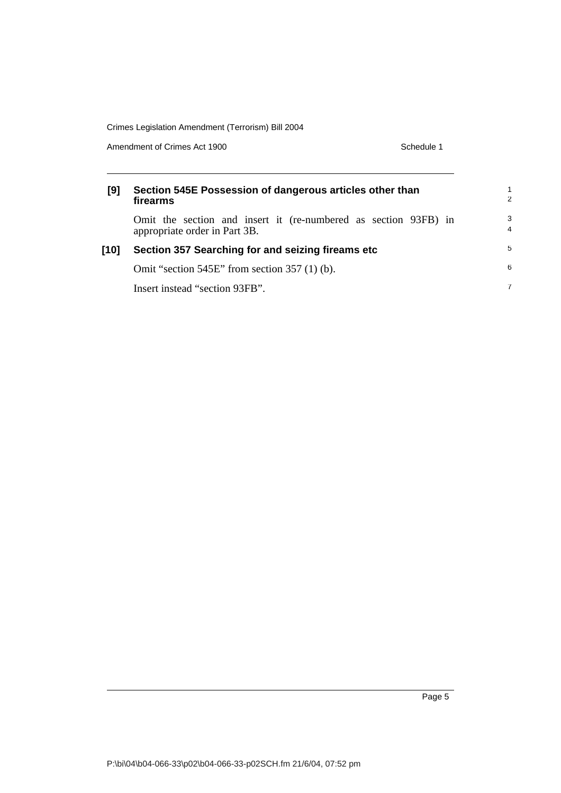Amendment of Crimes Act 1900 Schedule 1

| [9]  | Section 545E Possession of dangerous articles other than<br>firearms                             | $\mathfrak{p}$      |
|------|--------------------------------------------------------------------------------------------------|---------------------|
|      | Omit the section and insert it (re-numbered as section 93FB) in<br>appropriate order in Part 3B. | 3<br>$\overline{4}$ |
| [10] | Section 357 Searching for and seizing fireams etc                                                | 5                   |
|      | Omit "section $545E$ " from section $357(1)$ (b).                                                | 6                   |
|      | Insert instead "section 93FB".                                                                   | 7                   |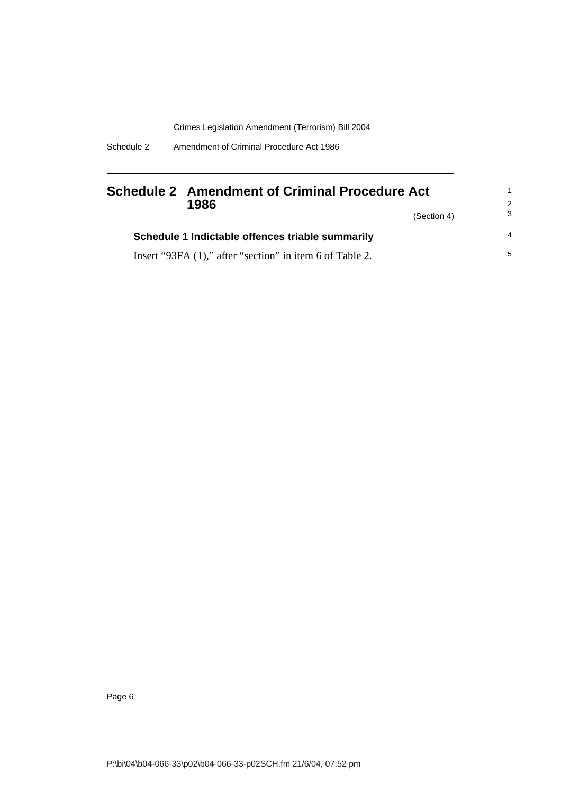| Schedule 2 | Amendment of Criminal Procedure Act 1986 |  |  |
|------------|------------------------------------------|--|--|
|            |                                          |  |  |

|  | 1986<br>(Section 4)                                      | Schedule 2 Amendment of Criminal Procedure Act |                | 1<br>-2 |
|--|----------------------------------------------------------|------------------------------------------------|----------------|---------|
|  |                                                          | -3                                             |                |         |
|  | Schedule 1 Indictable offences triable summarily         |                                                | $\overline{4}$ |         |
|  | Insert "93FA (1)," after "section" in item 6 of Table 2. |                                                | -5             |         |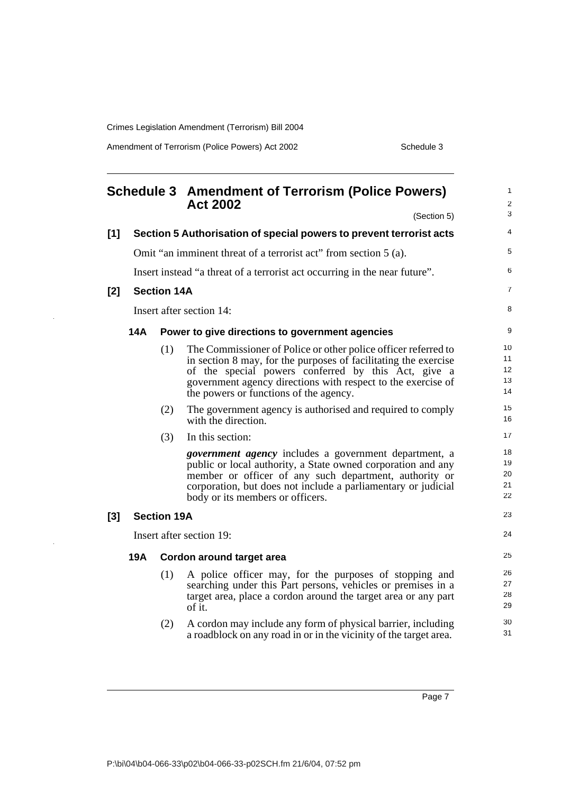Amendment of Terrorism (Police Powers) Act 2002 Schedule 3

|     |            |                    | <b>Schedule 3 Amendment of Terrorism (Police Powers)</b><br><b>Act 2002</b><br>(Section 5)                                                                                                                                                                                                         | $\mathbf{1}$<br>$\sqrt{2}$<br>3 |
|-----|------------|--------------------|----------------------------------------------------------------------------------------------------------------------------------------------------------------------------------------------------------------------------------------------------------------------------------------------------|---------------------------------|
| [1] |            |                    | Section 5 Authorisation of special powers to prevent terrorist acts                                                                                                                                                                                                                                | 4                               |
|     |            |                    | Omit "an imminent threat of a terrorist act" from section 5 (a).                                                                                                                                                                                                                                   | 5                               |
|     |            |                    | Insert instead "a threat of a terrorist act occurring in the near future".                                                                                                                                                                                                                         | 6                               |
| [2] |            | <b>Section 14A</b> |                                                                                                                                                                                                                                                                                                    | $\overline{7}$                  |
|     |            |                    | Insert after section 14:                                                                                                                                                                                                                                                                           | 8                               |
|     | <b>14A</b> |                    | Power to give directions to government agencies                                                                                                                                                                                                                                                    | 9                               |
|     |            | (1)                | The Commissioner of Police or other police officer referred to<br>in section 8 may, for the purposes of facilitating the exercise<br>of the special powers conferred by this Act, give a<br>government agency directions with respect to the exercise of<br>the powers or functions of the agency. | 10<br>11<br>12<br>13<br>14      |
|     |            | (2)                | The government agency is authorised and required to comply<br>with the direction.                                                                                                                                                                                                                  | 15<br>16                        |
|     |            | (3)                | In this section:                                                                                                                                                                                                                                                                                   | 17                              |
|     |            |                    | government agency includes a government department, a<br>public or local authority, a State owned corporation and any<br>member or officer of any such department, authority or<br>corporation, but does not include a parliamentary or judicial<br>body or its members or officers.               | 18<br>19<br>20<br>21<br>22      |
| [3] |            | <b>Section 19A</b> |                                                                                                                                                                                                                                                                                                    | 23                              |
|     |            |                    | Insert after section 19:                                                                                                                                                                                                                                                                           | 24                              |
|     | <b>19A</b> |                    | Cordon around target area                                                                                                                                                                                                                                                                          | 25                              |
|     |            | (1)                | A police officer may, for the purposes of stopping and<br>searching under this Part persons, vehicles or premises in a<br>target area, place a cordon around the target area or any part<br>of it.                                                                                                 | 26<br>27<br>28<br>29            |
|     |            | (2)                | A cordon may include any form of physical barrier, including<br>a roadblock on any road in or in the vicinity of the target area.                                                                                                                                                                  | 30<br>31                        |